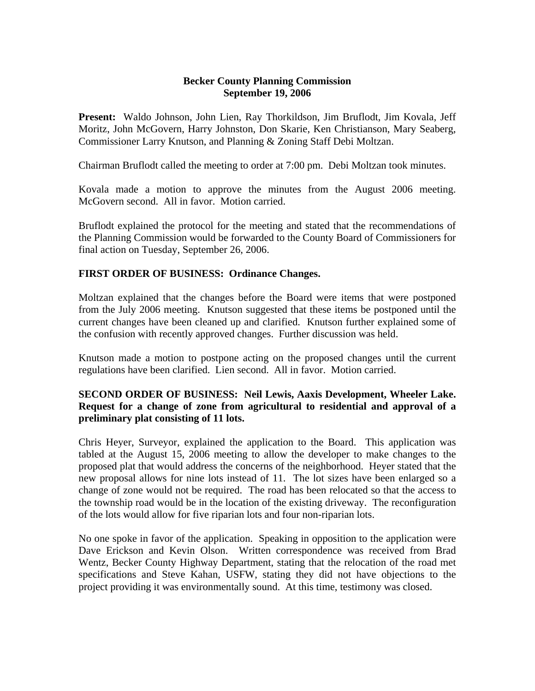## **Becker County Planning Commission September 19, 2006**

**Present:** Waldo Johnson, John Lien, Ray Thorkildson, Jim Bruflodt, Jim Kovala, Jeff Moritz, John McGovern, Harry Johnston, Don Skarie, Ken Christianson, Mary Seaberg, Commissioner Larry Knutson, and Planning & Zoning Staff Debi Moltzan.

Chairman Bruflodt called the meeting to order at 7:00 pm. Debi Moltzan took minutes.

Kovala made a motion to approve the minutes from the August 2006 meeting. McGovern second. All in favor. Motion carried.

Bruflodt explained the protocol for the meeting and stated that the recommendations of the Planning Commission would be forwarded to the County Board of Commissioners for final action on Tuesday, September 26, 2006.

## **FIRST ORDER OF BUSINESS: Ordinance Changes.**

Moltzan explained that the changes before the Board were items that were postponed from the July 2006 meeting. Knutson suggested that these items be postponed until the current changes have been cleaned up and clarified. Knutson further explained some of the confusion with recently approved changes. Further discussion was held.

Knutson made a motion to postpone acting on the proposed changes until the current regulations have been clarified. Lien second. All in favor. Motion carried.

## **SECOND ORDER OF BUSINESS: Neil Lewis, Aaxis Development, Wheeler Lake. Request for a change of zone from agricultural to residential and approval of a preliminary plat consisting of 11 lots.**

Chris Heyer, Surveyor, explained the application to the Board. This application was tabled at the August 15, 2006 meeting to allow the developer to make changes to the proposed plat that would address the concerns of the neighborhood. Heyer stated that the new proposal allows for nine lots instead of 11. The lot sizes have been enlarged so a change of zone would not be required. The road has been relocated so that the access to the township road would be in the location of the existing driveway. The reconfiguration of the lots would allow for five riparian lots and four non-riparian lots.

No one spoke in favor of the application. Speaking in opposition to the application were Dave Erickson and Kevin Olson. Written correspondence was received from Brad Wentz, Becker County Highway Department, stating that the relocation of the road met specifications and Steve Kahan, USFW, stating they did not have objections to the project providing it was environmentally sound. At this time, testimony was closed.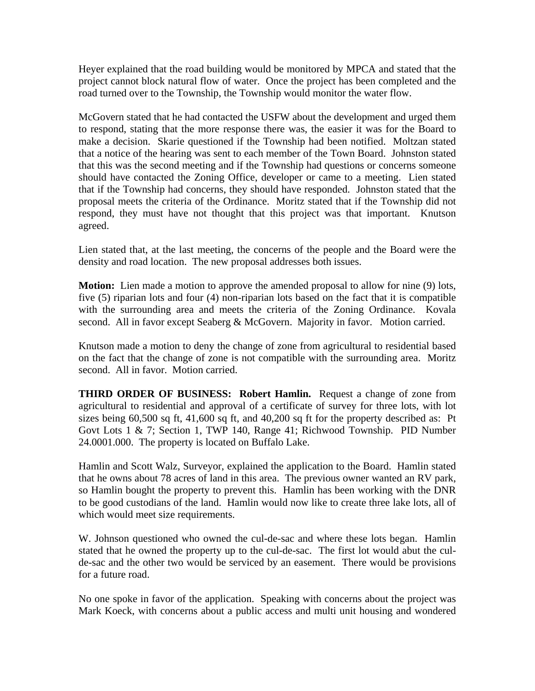Heyer explained that the road building would be monitored by MPCA and stated that the project cannot block natural flow of water. Once the project has been completed and the road turned over to the Township, the Township would monitor the water flow.

McGovern stated that he had contacted the USFW about the development and urged them to respond, stating that the more response there was, the easier it was for the Board to make a decision. Skarie questioned if the Township had been notified. Moltzan stated that a notice of the hearing was sent to each member of the Town Board. Johnston stated that this was the second meeting and if the Township had questions or concerns someone should have contacted the Zoning Office, developer or came to a meeting. Lien stated that if the Township had concerns, they should have responded. Johnston stated that the proposal meets the criteria of the Ordinance. Moritz stated that if the Township did not respond, they must have not thought that this project was that important. Knutson agreed.

Lien stated that, at the last meeting, the concerns of the people and the Board were the density and road location. The new proposal addresses both issues.

**Motion:** Lien made a motion to approve the amended proposal to allow for nine (9) lots, five (5) riparian lots and four (4) non-riparian lots based on the fact that it is compatible with the surrounding area and meets the criteria of the Zoning Ordinance. Kovala second. All in favor except Seaberg & McGovern. Majority in favor. Motion carried.

Knutson made a motion to deny the change of zone from agricultural to residential based on the fact that the change of zone is not compatible with the surrounding area. Moritz second. All in favor. Motion carried.

**THIRD ORDER OF BUSINESS: Robert Hamlin.** Request a change of zone from agricultural to residential and approval of a certificate of survey for three lots, with lot sizes being 60,500 sq ft, 41,600 sq ft, and 40,200 sq ft for the property described as: Pt Govt Lots 1 & 7; Section 1, TWP 140, Range 41; Richwood Township. PID Number 24.0001.000. The property is located on Buffalo Lake.

Hamlin and Scott Walz, Surveyor, explained the application to the Board. Hamlin stated that he owns about 78 acres of land in this area. The previous owner wanted an RV park, so Hamlin bought the property to prevent this. Hamlin has been working with the DNR to be good custodians of the land. Hamlin would now like to create three lake lots, all of which would meet size requirements.

W. Johnson questioned who owned the cul-de-sac and where these lots began. Hamlin stated that he owned the property up to the cul-de-sac. The first lot would abut the culde-sac and the other two would be serviced by an easement. There would be provisions for a future road.

No one spoke in favor of the application. Speaking with concerns about the project was Mark Koeck, with concerns about a public access and multi unit housing and wondered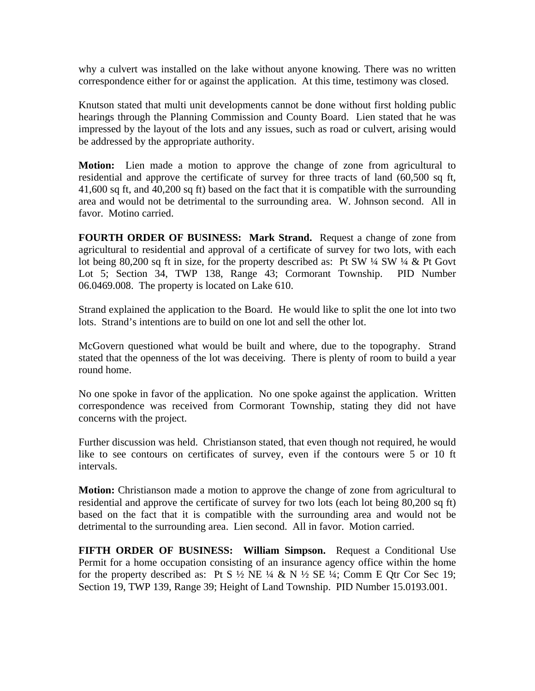why a culvert was installed on the lake without anyone knowing. There was no written correspondence either for or against the application. At this time, testimony was closed.

Knutson stated that multi unit developments cannot be done without first holding public hearings through the Planning Commission and County Board. Lien stated that he was impressed by the layout of the lots and any issues, such as road or culvert, arising would be addressed by the appropriate authority.

**Motion:** Lien made a motion to approve the change of zone from agricultural to residential and approve the certificate of survey for three tracts of land (60,500 sq ft, 41,600 sq ft, and 40,200 sq ft) based on the fact that it is compatible with the surrounding area and would not be detrimental to the surrounding area. W. Johnson second. All in favor. Motino carried.

**FOURTH ORDER OF BUSINESS: Mark Strand.** Request a change of zone from agricultural to residential and approval of a certificate of survey for two lots, with each lot being 80,200 sq ft in size, for the property described as: Pt SW ¼ SW ¼ & Pt Govt Lot 5; Section 34, TWP 138, Range 43; Cormorant Township. PID Number 06.0469.008. The property is located on Lake 610.

Strand explained the application to the Board. He would like to split the one lot into two lots. Strand's intentions are to build on one lot and sell the other lot.

McGovern questioned what would be built and where, due to the topography. Strand stated that the openness of the lot was deceiving. There is plenty of room to build a year round home.

No one spoke in favor of the application. No one spoke against the application. Written correspondence was received from Cormorant Township, stating they did not have concerns with the project.

Further discussion was held. Christianson stated, that even though not required, he would like to see contours on certificates of survey, even if the contours were 5 or 10 ft intervals.

**Motion:** Christianson made a motion to approve the change of zone from agricultural to residential and approve the certificate of survey for two lots (each lot being 80,200 sq ft) based on the fact that it is compatible with the surrounding area and would not be detrimental to the surrounding area. Lien second. All in favor. Motion carried.

**FIFTH ORDER OF BUSINESS: William Simpson.** Request a Conditional Use Permit for a home occupation consisting of an insurance agency office within the home for the property described as: Pt S  $\frac{1}{2}$  NE  $\frac{1}{4}$  & N  $\frac{1}{2}$  SE  $\frac{1}{4}$ ; Comm E Qtr Cor Sec 19; Section 19, TWP 139, Range 39; Height of Land Township. PID Number 15.0193.001.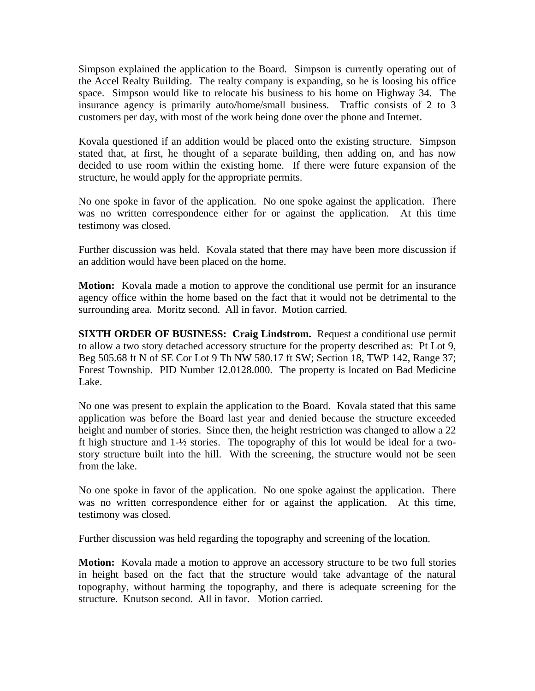Simpson explained the application to the Board. Simpson is currently operating out of the Accel Realty Building. The realty company is expanding, so he is loosing his office space. Simpson would like to relocate his business to his home on Highway 34. The insurance agency is primarily auto/home/small business. Traffic consists of 2 to 3 customers per day, with most of the work being done over the phone and Internet.

Kovala questioned if an addition would be placed onto the existing structure. Simpson stated that, at first, he thought of a separate building, then adding on, and has now decided to use room within the existing home. If there were future expansion of the structure, he would apply for the appropriate permits.

No one spoke in favor of the application. No one spoke against the application. There was no written correspondence either for or against the application. At this time testimony was closed.

Further discussion was held. Kovala stated that there may have been more discussion if an addition would have been placed on the home.

**Motion:** Kovala made a motion to approve the conditional use permit for an insurance agency office within the home based on the fact that it would not be detrimental to the surrounding area. Moritz second. All in favor. Motion carried.

**SIXTH ORDER OF BUSINESS: Craig Lindstrom.** Request a conditional use permit to allow a two story detached accessory structure for the property described as: Pt Lot 9, Beg 505.68 ft N of SE Cor Lot 9 Th NW 580.17 ft SW; Section 18, TWP 142, Range 37; Forest Township. PID Number 12.0128.000. The property is located on Bad Medicine Lake.

No one was present to explain the application to the Board. Kovala stated that this same application was before the Board last year and denied because the structure exceeded height and number of stories. Since then, the height restriction was changed to allow a 22 ft high structure and 1-½ stories. The topography of this lot would be ideal for a twostory structure built into the hill. With the screening, the structure would not be seen from the lake.

No one spoke in favor of the application. No one spoke against the application. There was no written correspondence either for or against the application. At this time, testimony was closed.

Further discussion was held regarding the topography and screening of the location.

**Motion:** Kovala made a motion to approve an accessory structure to be two full stories in height based on the fact that the structure would take advantage of the natural topography, without harming the topography, and there is adequate screening for the structure. Knutson second. All in favor. Motion carried.